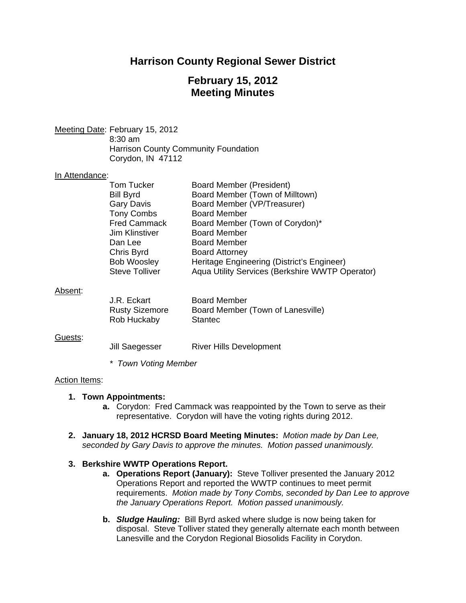## **Harrison County Regional Sewer District**

## **February 15, 2012 Meeting Minutes**

Meeting Date: February 15, 2012 8:30 am Harrison County Community Foundation Corydon, IN 47112

#### In Attendance:

| Tom Tucker            | Board Member (President)                        |
|-----------------------|-------------------------------------------------|
| <b>Bill Byrd</b>      | Board Member (Town of Milltown)                 |
| <b>Gary Davis</b>     | Board Member (VP/Treasurer)                     |
| <b>Tony Combs</b>     | <b>Board Member</b>                             |
| <b>Fred Cammack</b>   | Board Member (Town of Corydon)*                 |
| Jim Klinstiver        | <b>Board Member</b>                             |
| Dan Lee               | <b>Board Member</b>                             |
| Chris Byrd            | <b>Board Attorney</b>                           |
| <b>Bob Woosley</b>    | Heritage Engineering (District's Engineer)      |
| <b>Steve Tolliver</b> | Aqua Utility Services (Berkshire WWTP Operator) |
|                       |                                                 |

#### Absent:

| J.R. Eckart           | <b>Board Member</b>               |
|-----------------------|-----------------------------------|
| <b>Rusty Sizemore</b> | Board Member (Town of Lanesville) |
| Rob Huckaby           | Stantec                           |

#### Guests:

| Jill Saegesser | <b>River Hills Development</b> |
|----------------|--------------------------------|
|                |                                |

*\* Town Voting Member* 

#### Action Items:

#### **1. Town Appointments:**

- **a.** Corydon: Fred Cammack was reappointed by the Town to serve as their representative. Corydon will have the voting rights during 2012.
- **2. January 18, 2012 HCRSD Board Meeting Minutes:** *Motion made by Dan Lee, seconded by Gary Davis to approve the minutes. Motion passed unanimously.*

#### **3. Berkshire WWTP Operations Report.**

- **a. Operations Report (January):** Steve Tolliver presented the January 2012 Operations Report and reported the WWTP continues to meet permit requirements. *Motion made by Tony Combs, seconded by Dan Lee to approve the January Operations Report. Motion passed unanimously.*
- **b.** *Sludge Hauling:* Bill Byrd asked where sludge is now being taken for disposal. Steve Tolliver stated they generally alternate each month between Lanesville and the Corydon Regional Biosolids Facility in Corydon.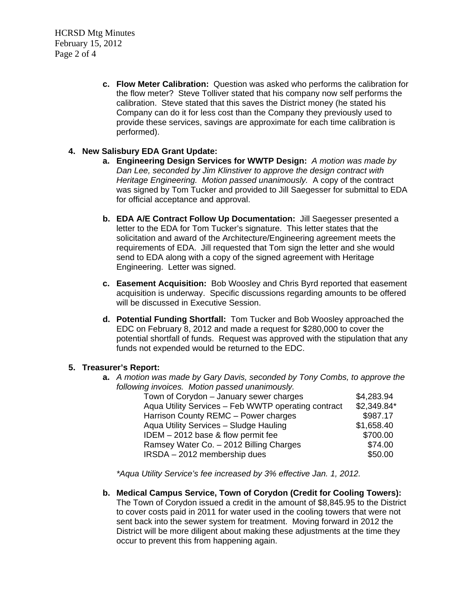HCRSD Mtg Minutes February 15, 2012 Page 2 of 4

> **c. Flow Meter Calibration:** Question was asked who performs the calibration for the flow meter? Steve Tolliver stated that his company now self performs the calibration. Steve stated that this saves the District money (he stated his Company can do it for less cost than the Company they previously used to provide these services, savings are approximate for each time calibration is performed).

### **4. New Salisbury EDA Grant Update:**

- **a. Engineering Design Services for WWTP Design:** *A motion was made by Dan Lee, seconded by Jim Klinstiver to approve the design contract with Heritage Engineering. Motion passed unanimously.* A copy of the contract was signed by Tom Tucker and provided to Jill Saegesser for submittal to EDA for official acceptance and approval.
- **b. EDA A/E Contract Follow Up Documentation:** Jill Saegesser presented a letter to the EDA for Tom Tucker's signature. This letter states that the solicitation and award of the Architecture/Engineering agreement meets the requirements of EDA. Jill requested that Tom sign the letter and she would send to EDA along with a copy of the signed agreement with Heritage Engineering. Letter was signed.
- **c. Easement Acquisition:** Bob Woosley and Chris Byrd reported that easement acquisition is underway. Specific discussions regarding amounts to be offered will be discussed in Executive Session.
- **d. Potential Funding Shortfall:** Tom Tucker and Bob Woosley approached the EDC on February 8, 2012 and made a request for \$280,000 to cover the potential shortfall of funds. Request was approved with the stipulation that any funds not expended would be returned to the EDC.

### **5. Treasurer's Report:**

**a.** *A motion was made by Gary Davis, seconded by Tony Combs, to approve the following invoices. Motion passed unanimously.* 

| Town of Corydon - January sewer charges             | \$4,283.94  |
|-----------------------------------------------------|-------------|
| Aqua Utility Services - Feb WWTP operating contract | \$2,349.84* |
| Harrison County REMC - Power charges                | \$987.17    |
| Aqua Utility Services - Sludge Hauling              | \$1,658.40  |
| IDEM $-2012$ base & flow permit fee                 | \$700.00    |
| Ramsey Water Co. - 2012 Billing Charges             | \$74.00     |
| IRSDA - 2012 membership dues                        | \$50.00     |
|                                                     |             |

*\*Aqua Utility Service's fee increased by 3% effective Jan. 1, 2012.* 

**b. Medical Campus Service, Town of Corydon (Credit for Cooling Towers):**  The Town of Corydon issued a credit in the amount of \$8,845.95 to the District to cover costs paid in 2011 for water used in the cooling towers that were not sent back into the sewer system for treatment. Moving forward in 2012 the District will be more diligent about making these adjustments at the time they occur to prevent this from happening again.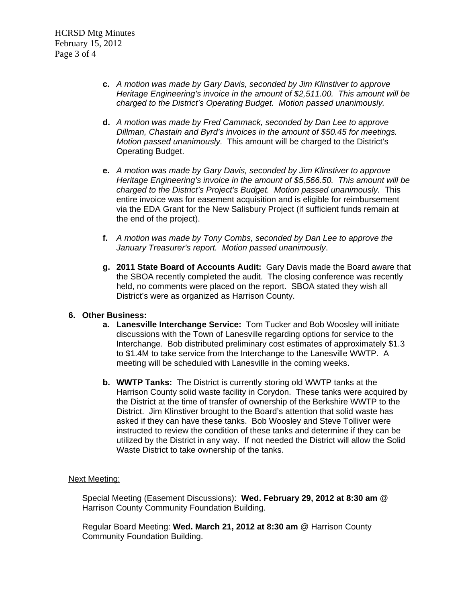- **c.** *A motion was made by Gary Davis, seconded by Jim Klinstiver to approve Heritage Engineering's invoice in the amount of \$2,511.00. This amount will be charged to the District's Operating Budget. Motion passed unanimously.*
- **d.** *A motion was made by Fred Cammack, seconded by Dan Lee to approve Dillman, Chastain and Byrd's invoices in the amount of \$50.45 for meetings. Motion passed unanimously.* This amount will be charged to the District's Operating Budget.
- **e.** *A motion was made by Gary Davis, seconded by Jim Klinstiver to approve Heritage Engineering's invoice in the amount of \$5,566.50. This amount will be charged to the District's Project's Budget. Motion passed unanimously.* This entire invoice was for easement acquisition and is eligible for reimbursement via the EDA Grant for the New Salisbury Project (if sufficient funds remain at the end of the project).
- **f.** *A motion was made by Tony Combs, seconded by Dan Lee to approve the January Treasurer's report. Motion passed unanimously*.
- **g. 2011 State Board of Accounts Audit:** Gary Davis made the Board aware that the SBOA recently completed the audit. The closing conference was recently held, no comments were placed on the report. SBOA stated they wish all District's were as organized as Harrison County.

### **6. Other Business:**

- **a. Lanesville Interchange Service:** Tom Tucker and Bob Woosley will initiate discussions with the Town of Lanesville regarding options for service to the Interchange. Bob distributed preliminary cost estimates of approximately \$1.3 to \$1.4M to take service from the Interchange to the Lanesville WWTP. A meeting will be scheduled with Lanesville in the coming weeks.
- **b. WWTP Tanks:** The District is currently storing old WWTP tanks at the Harrison County solid waste facility in Corydon. These tanks were acquired by the District at the time of transfer of ownership of the Berkshire WWTP to the District. Jim Klinstiver brought to the Board's attention that solid waste has asked if they can have these tanks. Bob Woosley and Steve Tolliver were instructed to review the condition of these tanks and determine if they can be utilized by the District in any way. If not needed the District will allow the Solid Waste District to take ownership of the tanks.

#### Next Meeting:

Special Meeting (Easement Discussions): **Wed. February 29, 2012 at 8:30 am** @ Harrison County Community Foundation Building.

Regular Board Meeting: **Wed. March 21, 2012 at 8:30 am** @ Harrison County Community Foundation Building.